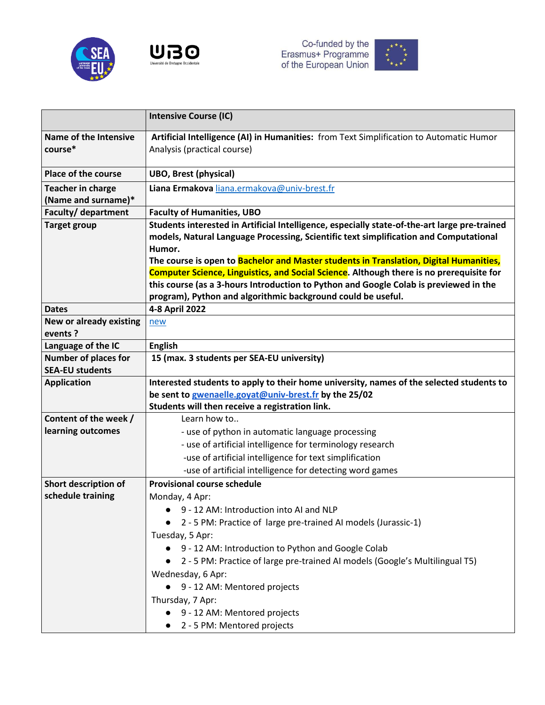





|                                | <b>Intensive Course (IC)</b>                                                                     |
|--------------------------------|--------------------------------------------------------------------------------------------------|
| <b>Name of the Intensive</b>   | Artificial Intelligence (AI) in Humanities: from Text Simplification to Automatic Humor          |
| course*                        | Analysis (practical course)                                                                      |
|                                |                                                                                                  |
| Place of the course            | <b>UBO, Brest (physical)</b>                                                                     |
| <b>Teacher in charge</b>       | Liana Ermakova liana.ermakova@univ-brest.fr                                                      |
| (Name and surname)*            |                                                                                                  |
| <b>Faculty/ department</b>     | <b>Faculty of Humanities, UBO</b>                                                                |
| <b>Target group</b>            | Students interested in Artificial Intelligence, especially state-of-the-art large pre-trained    |
|                                | models, Natural Language Processing, Scientific text simplification and Computational            |
|                                | Humor.<br>The course is open to Bachelor and Master students in Translation, Digital Humanities, |
|                                | <b>Computer Science, Linguistics, and Social Science.</b> Although there is no prerequisite for  |
|                                | this course (as a 3-hours Introduction to Python and Google Colab is previewed in the            |
|                                | program), Python and algorithmic background could be useful.                                     |
| <b>Dates</b>                   | 4-8 April 2022                                                                                   |
| <b>New or already existing</b> | new                                                                                              |
| events ?                       |                                                                                                  |
| Language of the IC             | <b>English</b>                                                                                   |
| <b>Number of places for</b>    | 15 (max. 3 students per SEA-EU university)                                                       |
| <b>SEA-EU students</b>         |                                                                                                  |
| <b>Application</b>             | Interested students to apply to their home university, names of the selected students to         |
|                                | be sent to gwenaelle.goyat@univ-brest.fr by the 25/02                                            |
|                                | Students will then receive a registration link.                                                  |
| Content of the week /          | Learn how to                                                                                     |
| learning outcomes              | - use of python in automatic language processing                                                 |
|                                | - use of artificial intelligence for terminology research                                        |
|                                | -use of artificial intelligence for text simplification                                          |
|                                | -use of artificial intelligence for detecting word games                                         |
| Short description of           | <b>Provisional course schedule</b>                                                               |
| schedule training              | Monday, 4 Apr:                                                                                   |
|                                | 9 - 12 AM: Introduction into AI and NLP                                                          |
|                                | 2 - 5 PM: Practice of large pre-trained AI models (Jurassic-1)                                   |
|                                | Tuesday, 5 Apr:                                                                                  |
|                                | 9 - 12 AM: Introduction to Python and Google Colab                                               |
|                                | 2 - 5 PM: Practice of large pre-trained AI models (Google's Multilingual T5)                     |
|                                | Wednesday, 6 Apr:                                                                                |
|                                | 9 - 12 AM: Mentored projects                                                                     |
|                                | Thursday, 7 Apr:                                                                                 |
|                                | 9 - 12 AM: Mentored projects                                                                     |
|                                | 2 - 5 PM: Mentored projects                                                                      |